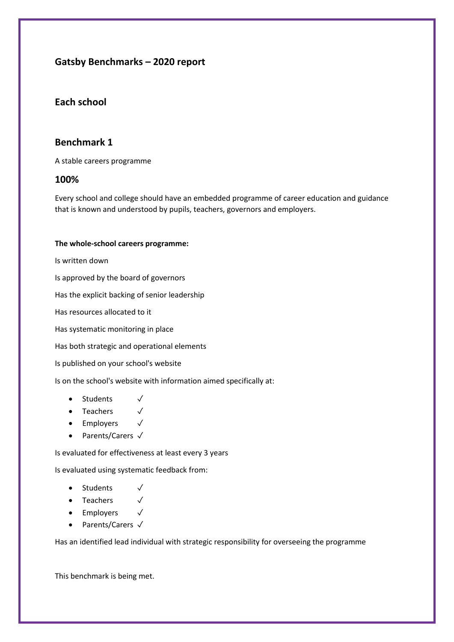# **Gatsby Benchmarks – 2020 report**

## **Each school**

## **Benchmark 1**

A stable careers programme

#### **100%**

Every school and college should have an embedded programme of career education and guidance that is known and understood by pupils, teachers, governors and employers.

#### **The whole-school careers programme:**

Is written down

Is approved by the board of governors

Has the explicit backing of senior leadership

Has resources allocated to it

Has systematic monitoring in place

Has both strategic and operational elements

Is published on your school's website

Is on the school's website with information aimed specifically at:

- Students √
- Teachers √
- Employers √
- Parents/Carers √

Is evaluated for effectiveness at least every 3 years

Is evaluated using systematic feedback from:

- Students √
- Teachers √
- Employers √
- Parents/Carers √

Has an identified lead individual with strategic responsibility for overseeing the programme

This benchmark is being met.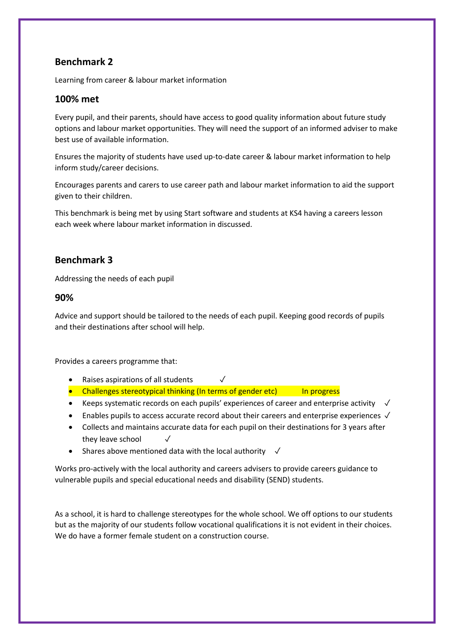Learning from career & labour market information

### **100% met**

Every pupil, and their parents, should have access to good quality information about future study options and labour market opportunities. They will need the support of an informed adviser to make best use of available information.

Ensures the majority of students have used up-to-date career & labour market information to help inform study/career decisions.

Encourages parents and carers to use career path and labour market information to aid the support given to their children.

This benchmark is being met by using Start software and students at KS4 having a careers lesson each week where labour market information in discussed.

## **Benchmark 3**

Addressing the needs of each pupil

#### **90%**

Advice and support should be tailored to the needs of each pupil. Keeping good records of pupils and their destinations after school will help.

Provides a careers programme that:

- Raises aspirations of all students  $√$
- Challenges stereotypical thinking (In terms of gender etc) In progress
- Keeps systematic records on each pupils' experiences of career and enterprise activity  $\checkmark$
- Enables pupils to access accurate record about their careers and enterprise experiences ✓
- Collects and maintains accurate data for each pupil on their destinations for 3 years after they leave school
- Shares above mentioned data with the local authority  $\sqrt{}$

Works pro-actively with the local authority and careers advisers to provide careers guidance to vulnerable pupils and special educational needs and disability (SEND) students.

As a school, it is hard to challenge stereotypes for the whole school. We off options to our students but as the majority of our students follow vocational qualifications it is not evident in their choices. We do have a former female student on a construction course.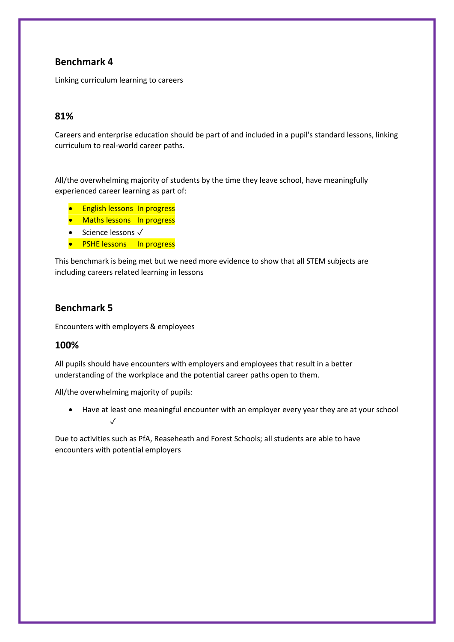Linking curriculum learning to careers

### **81%**

Careers and enterprise education should be part of and included in a pupil's standard lessons, linking curriculum to real-world career paths.

All/the overwhelming majority of students by the time they leave school, have meaningfully experienced career learning as part of:

- **•** English lessons In progress
- Maths lessons In progress
- Science lessons √
- PSHE lessons In progress

This benchmark is being met but we need more evidence to show that all STEM subjects are including careers related learning in lessons

### **Benchmark 5**

Encounters with employers & employees

#### **100%**

All pupils should have encounters with employers and employees that result in a better understanding of the workplace and the potential career paths open to them.

All/the overwhelming majority of pupils:

 Have at least one meaningful encounter with an employer every year they are at your school  $\cdot$ /

Due to activities such as PfA, Reaseheath and Forest Schools; all students are able to have encounters with potential employers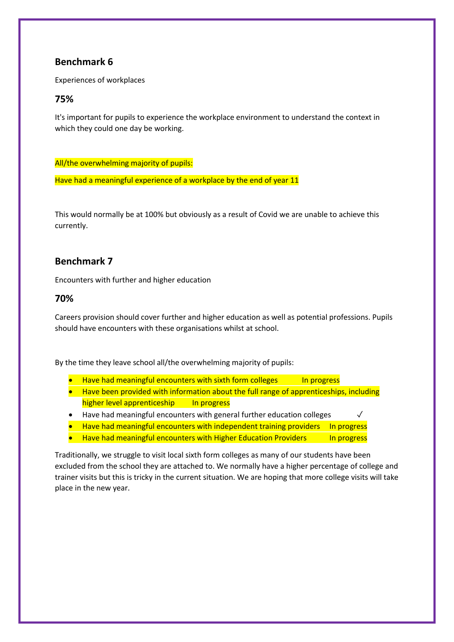Experiences of workplaces

### **75%**

It's important for pupils to experience the workplace environment to understand the context in which they could one day be working.

All/the overwhelming majority of pupils:

Have had a meaningful experience of a workplace by the end of year 11

This would normally be at 100% but obviously as a result of Covid we are unable to achieve this currently.

## **Benchmark 7**

Encounters with further and higher education

### **70%**

Careers provision should cover further and higher education as well as potential professions. Pupils should have encounters with these organisations whilst at school.

By the time they leave school all/the overwhelming majority of pupils:

- $\bullet$  Have had meaningful encounters with sixth form colleges  $\qquad$  In progress
- Have been provided with information about the full range of apprenticeships, including higher level apprenticeship In progress
- Have had meaningful encounters with general further education colleges  $√$
- Have had meaningful encounters with independent training providers In progress
- Have had meaningful encounters with Higher Education Providers In progress

Traditionally, we struggle to visit local sixth form colleges as many of our students have been excluded from the school they are attached to. We normally have a higher percentage of college and trainer visits but this is tricky in the current situation. We are hoping that more college visits will take place in the new year.